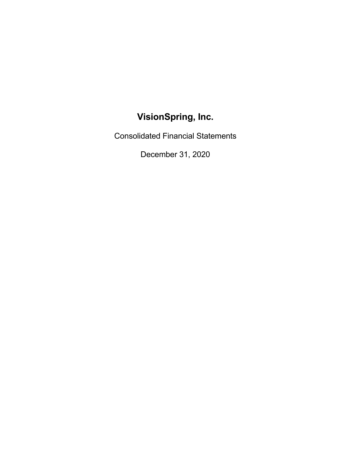Consolidated Financial Statements

December 31, 2020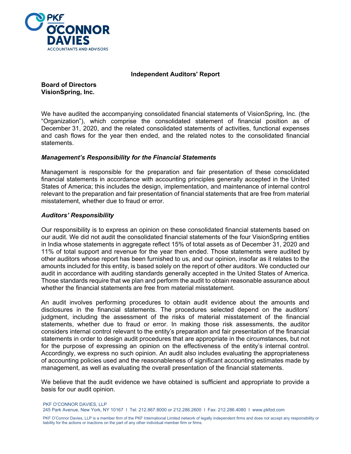

#### **Independent Auditors' Report**

**Board of Directors VisionSpring, Inc.** 

We have audited the accompanying consolidated financial statements of VisionSpring, Inc. (the "Organization"), which comprise the consolidated statement of financial position as of December 31, 2020, and the related consolidated statements of activities, functional expenses and cash flows for the year then ended, and the related notes to the consolidated financial statements.

### *Management's Responsibility for the Financial Statements*

Management is responsible for the preparation and fair presentation of these consolidated financial statements in accordance with accounting principles generally accepted in the United States of America; this includes the design, implementation, and maintenance of internal control relevant to the preparation and fair presentation of financial statements that are free from material misstatement, whether due to fraud or error.

### *Auditors' Responsibility*

Our responsibility is to express an opinion on these consolidated financial statements based on our audit. We did not audit the consolidated financial statements of the four VisionSpring entities in India whose statements in aggregate reflect 15% of total assets as of December 31, 2020 and 11% of total support and revenue for the year then ended. Those statements were audited by other auditors whose report has been furnished to us, and our opinion, insofar as it relates to the amounts included for this entity, is based solely on the report of other auditors. We conducted our audit in accordance with auditing standards generally accepted in the United States of America. Those standards require that we plan and perform the audit to obtain reasonable assurance about whether the financial statements are free from material misstatement.

An audit involves performing procedures to obtain audit evidence about the amounts and disclosures in the financial statements. The procedures selected depend on the auditors' judgment, including the assessment of the risks of material misstatement of the financial statements, whether due to fraud or error. In making those risk assessments, the auditor considers internal control relevant to the entity's preparation and fair presentation of the financial statements in order to design audit procedures that are appropriate in the circumstances, but not for the purpose of expressing an opinion on the effectiveness of the entity's internal control. Accordingly, we express no such opinion. An audit also includes evaluating the appropriateness of accounting policies used and the reasonableness of significant accounting estimates made by management, as well as evaluating the overall presentation of the financial statements.

We believe that the audit evidence we have obtained is sufficient and appropriate to provide a basis for our audit opinion.

PKF O'CONNOR DAVIES, LLP 245 Park Avenue, New York, NY 10167 I Tel: 212.867.8000 or 212.286.2600 I Fax: 212.286.4080 I www.pkfod.com

PKF O'Connor Davies, LLP is a member firm of the PKF International Limited network of legally independent firms and does not accept any responsibility or liability for the actions or inactions on the part of any other individual member firm or firms.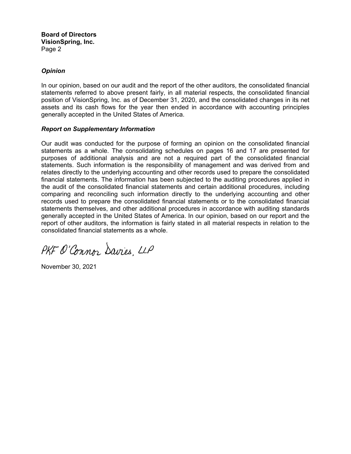**Board of Directors VisionSpring, Inc.**  Page 2

#### *Opinion*

In our opinion, based on our audit and the report of the other auditors, the consolidated financial statements referred to above present fairly, in all material respects, the consolidated financial position of VisionSpring, Inc. as of December 31, 2020, and the consolidated changes in its net assets and its cash flows for the year then ended in accordance with accounting principles generally accepted in the United States of America.

#### *Report on Supplementary Information*

Our audit was conducted for the purpose of forming an opinion on the consolidated financial statements as a whole. The consolidating schedules on pages 16 and 17 are presented for purposes of additional analysis and are not a required part of the consolidated financial statements. Such information is the responsibility of management and was derived from and relates directly to the underlying accounting and other records used to prepare the consolidated financial statements. The information has been subjected to the auditing procedures applied in the audit of the consolidated financial statements and certain additional procedures, including comparing and reconciling such information directly to the underlying accounting and other records used to prepare the consolidated financial statements or to the consolidated financial statements themselves, and other additional procedures in accordance with auditing standards generally accepted in the United States of America. In our opinion, based on our report and the report of other auditors, the information is fairly stated in all material respects in relation to the consolidated financial statements as a whole.

PKF O'Connor Davies, LLP

November 30, 2021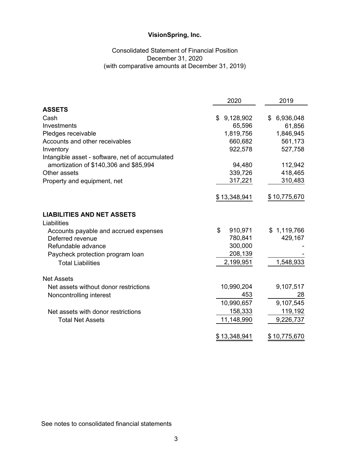#### **VisionSpring, Inc. VisionSpring, Inc.**

## Consolidated Statement of Financial Position Consolidated Statement of Financial Position December 31, 2020 December 31, 2020 (with comparative amounts at December 31, 2019) (with comparative amounts at December 31, 2019)

|                                                 | 2020          | 2019            |
|-------------------------------------------------|---------------|-----------------|
| <b>ASSETS</b>                                   |               |                 |
| Cash                                            | \$9,128,902   | 6,936,048<br>\$ |
| Investments                                     | 65,596        | 61,856          |
| Pledges receivable                              | 1,819,756     | 1,846,945       |
| Accounts and other receivables                  | 660,682       | 561,173         |
| Inventory                                       | 922,578       | 527,758         |
| Intangible asset - software, net of accumulated |               |                 |
| amortization of \$140,306 and \$85,994          | 94,480        | 112,942         |
| Other assets                                    | 339,726       | 418,465         |
| Property and equipment, net                     | 317,221       | 310,483         |
|                                                 | \$13,348,941  | \$10,775,670    |
| <b>LIABILITIES AND NET ASSETS</b>               |               |                 |
| Liabilities                                     |               |                 |
| Accounts payable and accrued expenses           | \$<br>910,971 | \$1,119,766     |
| Deferred revenue                                | 780,841       | 429,167         |
| Refundable advance                              | 300,000       |                 |
| Paycheck protection program loan                | 208,139       |                 |
| <b>Total Liabilities</b>                        | 2,199,951     | 1,548,933       |
| <b>Net Assets</b>                               |               |                 |
| Net assets without donor restrictions           | 10,990,204    | 9,107,517       |
| Noncontrolling interest                         | 453           | 28              |
|                                                 | 10,990,657    | 9,107,545       |
| Net assets with donor restrictions              | 158,333       | 119,192         |
| <b>Total Net Assets</b>                         | 11,148,990    | 9,226,737       |
|                                                 | \$13,348,941  | \$10,775,670    |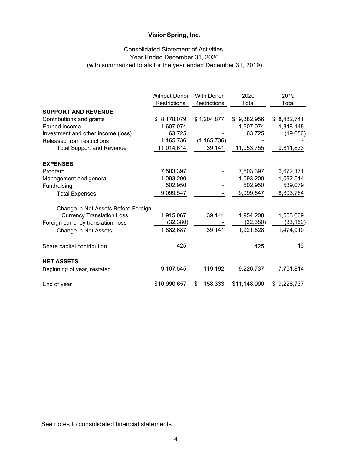#### **VisionSpring, Inc. VisionSpring, Inc.**

## Consolidated Statement of Activities Consolidated Statement of Activities Year Ended December 31, 2020 Year Ended December 31, 2020 (with summarized totals for the year ended December 31, 2019) (with summarized totals for the year ended December 31, 2019)

|                                     | <b>Without Donor</b><br>Restrictions | <b>With Donor</b><br>Restrictions | 2020<br>Total    | 2019<br>Total   |
|-------------------------------------|--------------------------------------|-----------------------------------|------------------|-----------------|
| <b>SUPPORT AND REVENUE</b>          |                                      |                                   |                  |                 |
| Contributions and grants            | \$8,178,079                          | \$1,204,877                       | 9,382,956<br>\$. | \$8,482,741     |
| Earned income                       | 1,607,074                            |                                   | 1,607,074        | 1,348,148       |
| Investment and other income (loss)  | 63,725                               |                                   | 63,725           | (19,056)        |
| Released from restrictions          | 1,165,736                            | (1, 165, 736)                     |                  |                 |
| <b>Total Support and Revenue</b>    | 11,014,614                           | 39,141                            | 11,053,755       | 9,811,833       |
| <b>EXPENSES</b>                     |                                      |                                   |                  |                 |
| Program                             | 7,503,397                            |                                   | 7,503,397        | 6,672,171       |
| Management and general              | 1,093,200                            |                                   | 1,093,200        | 1,092,514       |
| Fundraising                         | 502,950                              |                                   | 502,950          | 539,079         |
| <b>Total Expenses</b>               | 9,099,547                            |                                   | 9,099,547        | 8,303,764       |
| Change in Net Assets Before Foreign |                                      |                                   |                  |                 |
| <b>Currency Translation Loss</b>    | 1,915,067                            | 39,141                            | 1,954,208        | 1,508,069       |
| Foreign currency translation loss   | (32, 380)                            |                                   | (32, 380)        | (33, 159)       |
| Change in Net Assets                | 1,882,687                            | 39,141                            | 1,921,828        | 1,474,910       |
| Share capital contribution          | 425                                  |                                   | 425              | 13              |
| <b>NET ASSETS</b>                   |                                      |                                   |                  |                 |
| Beginning of year, restated         | 9,107,545                            | 119,192                           | 9,226,737        | 7,751,814       |
| End of year                         | \$10,990,657                         | 158,333<br>S                      | \$11,148,990     | 9,226,737<br>\$ |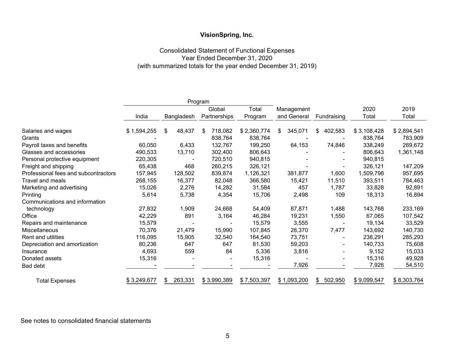## Consolidated Statement of Functional Expenses Year Ended December 31, 2020 (with summarized totals for the year ended December 31, 2019)

|                                      | Program     |               |    |              |             |               |               |             |             |
|--------------------------------------|-------------|---------------|----|--------------|-------------|---------------|---------------|-------------|-------------|
|                                      |             |               |    | Global       | Total       | Management    |               | 2020        | 2019        |
|                                      | India       | Bangladesh    |    | Partnerships | Program     | and General   | Fundraising   | Total       | Total       |
| Salaries and wages                   | \$1,594,255 | 48,437<br>\$  | \$ | 718,082      | \$2,360,774 | 345,071<br>\$ | \$<br>402,583 | \$3,108,428 | \$2,894,541 |
| Grants                               |             |               |    | 838,764      | 838,764     |               |               | 838,764     | 783,909     |
| Payroll taxes and benefits           | 60,050      | 6,433         |    | 132,767      | 199,250     | 64,153        | 74,846        | 338,249     | 269,672     |
| Glasses and accessories              | 490,533     | 13,710        |    | 302,400      | 806,643     |               |               | 806,643     | 1,361,148   |
| Personal protective equipment        | 220,305     |               |    | 720,510      | 940,815     |               |               | 940,815     |             |
| Freight and shipping                 | 65,438      | 468           |    | 260,215      | 326,121     |               |               | 326,121     | 147,209     |
| Professional fees and subcontractors | 157,945     | 128,502       |    | 839,874      | 1,126,321   | 381,877       | 1,600         | 1,509,798   | 957,695     |
| Travel and meals                     | 268,155     | 16,377        |    | 82,048       | 366,580     | 15,421        | 11,510        | 393,511     | 784,463     |
| Marketing and advertising            | 15,026      | 2,276         |    | 14,282       | 31,584      | 457           | 1,787         | 33,828      | 92,891      |
| Printing                             | 5,614       | 5,738         |    | 4,354        | 15,706      | 2,498         | 109           | 18,313      | 16,894      |
| Communications and information       |             |               |    |              |             |               |               |             |             |
| technology                           | 27,832      | 1,909         |    | 24,668       | 54,409      | 87,871        | 1,488         | 143,768     | 233,169     |
| Office                               | 42,229      | 891           |    | 3,164        | 46,284      | 19,231        | 1,550         | 67,065      | 107,542     |
| Repairs and maintenance              | 15,579      |               |    |              | 15,579      | 3,555         |               | 19,134      | 33,529      |
| Miscellaneous                        | 70,376      | 21,479        |    | 15,990       | 107,845     | 28,370        | 7,477         | 143,692     | 140,730     |
| Rent and utilities                   | 116,095     | 15,905        |    | 32,540       | 164,540     | 73,751        |               | 238,291     | 285,293     |
| Depreciation and amortization        | 80,236      | 647           |    | 647          | 81,530      | 59,203        |               | 140,733     | 75,608      |
| Insurance                            | 4,693       | 559           |    | 84           | 5,336       | 3,816         |               | 9,152       | 15,033      |
| Donated assets                       | 15,316      |               |    |              | 15,316      |               |               | 15,316      | 49,928      |
| Bad debt                             |             |               |    |              |             | 7,926         |               | 7,926       | 54,510      |
| <b>Total Expenses</b>                | \$3,249,677 | 263,331<br>\$ |    | \$3,990,389  | \$7,503,397 | \$1,093,200   | \$<br>502,950 | \$9,099,547 | \$8,303,764 |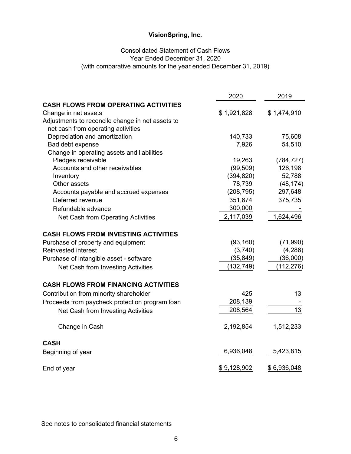# Consolidated Statement of Cash Flows Year Ended December 31, 2020 (with comparative amounts for the year ended December 31, 2019)

|                                                  | 2020        | 2019        |
|--------------------------------------------------|-------------|-------------|
| <b>CASH FLOWS FROM OPERATING ACTIVITIES</b>      |             |             |
| Change in net assets                             | \$1,921,828 | \$1,474,910 |
| Adjustments to reconcile change in net assets to |             |             |
| net cash from operating activities               |             |             |
| Depreciation and amortization                    | 140,733     | 75,608      |
| Bad debt expense                                 | 7,926       | 54,510      |
| Change in operating assets and liabilities       |             |             |
| Pledges receivable                               | 19,263      | (784, 727)  |
| Accounts and other receivables                   | (99, 509)   | 126,198     |
| Inventory                                        | (394, 820)  | 52,788      |
| Other assets                                     | 78,739      | (48, 174)   |
| Accounts payable and accrued expenses            | (208, 795)  | 297,648     |
| Deferred revenue                                 | 351,674     | 375,735     |
| Refundable advance                               | 300,000     |             |
| Net Cash from Operating Activities               | 2,117,039   | 1,624,496   |
| <b>CASH FLOWS FROM INVESTING ACTIVITIES</b>      |             |             |
| Purchase of property and equipment               | (93, 160)   | (71, 990)   |
| <b>Reinvested interest</b>                       | (3,740)     | (4,286)     |
| Purchase of intangible asset - software          | (35, 849)   | (36,000)    |
| Net Cash from Investing Activities               | (132, 749)  | (112, 276)  |
| <b>CASH FLOWS FROM FINANCING ACTIVITIES</b>      |             |             |
| Contribution from minority shareholder           | 425         | 13          |
| Proceeds from paycheck protection program loan   | 208,139     |             |
| Net Cash from Investing Activities               | 208,564     | 13          |
|                                                  |             |             |
| Change in Cash                                   | 2,192,854   | 1,512,233   |
| <b>CASH</b>                                      |             |             |
| Beginning of year                                | 6,936,048   | 5,423,815   |
| End of year                                      | \$9,128,902 | \$6,936,048 |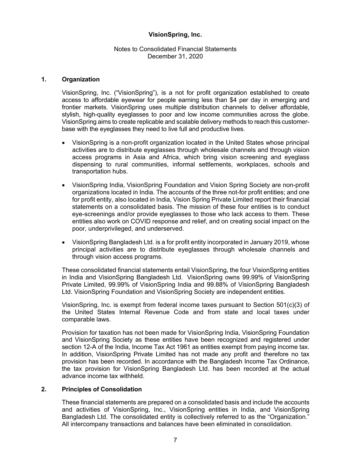## Notes to Consolidated Financial Statements December 31, 2020

#### **1. Organization**

VisionSpring, Inc. ("VisionSpring"), is a not for profit organization established to create access to affordable eyewear for people earning less than \$4 per day in emerging and frontier markets. VisionSpring uses multiple distribution channels to deliver affordable, stylish, high-quality eyeglasses to poor and low income communities across the globe. VisionSpring aims to create replicable and scalable delivery methods to reach this customerbase with the eyeglasses they need to live full and productive lives.

- VisionSpring is a non-profit organization located in the United States whose principal activities are to distribute eyeglasses through wholesale channels and through vision access programs in Asia and Africa, which bring vision screening and eyeglass dispensing to rural communities, informal settlements, workplaces, schools and transportation hubs.
- VisionSpring India, VisionSpring Foundation and Vision Spring Society are non-profit organizations located in India. The accounts of the three not-for profit entities; and one for profit entity, also located in India, Vision Spring Private Limited report their financial statements on a consolidated basis. The mission of these four entities is to conduct eye-screenings and/or provide eyeglasses to those who lack access to them. These entities also work on COVID response and relief, and on creating social impact on the poor, underprivileged, and underserved.
- VisionSpring Bangladesh Ltd. is a for profit entity incorporated in January 2019, whose principal activities are to distribute eyeglasses through wholesale channels and through vision access programs.

These consolidated financial statements entail VisionSpring, the four VisionSpring entities in India and VisionSpring Bangladesh Ltd. VisionSpring owns 99.99% of VisionSpring Private Limited, 99.99% of VisionSpring India and 99.88% of VisionSpring Bangladesh Ltd. VisionSpring Foundation and VisionSpring Society are independent entities.

VisionSpring, Inc. is exempt from federal income taxes pursuant to Section 501(c)(3) of the United States Internal Revenue Code and from state and local taxes under comparable laws.

Provision for taxation has not been made for VisionSpring India, VisionSpring Foundation and VisionSpring Society as these entities have been recognized and registered under section 12-A of the India, Income Tax Act 1961 as entities exempt from paying income tax. In addition, VisionSpring Private Limited has not made any profit and therefore no tax provision has been recorded. In accordance with the Bangladesh Income Tax Ordinance, the tax provision for VisionSpring Bangladesh Ltd. has been recorded at the actual advance income tax withheld.

## **2. Principles of Consolidation**

These financial statements are prepared on a consolidated basis and include the accounts and activities of VisionSpring, Inc., VisionSpring entities in India, and VisionSpring Bangladesh Ltd. The consolidated entity is collectively referred to as the "Organization." All intercompany transactions and balances have been eliminated in consolidation.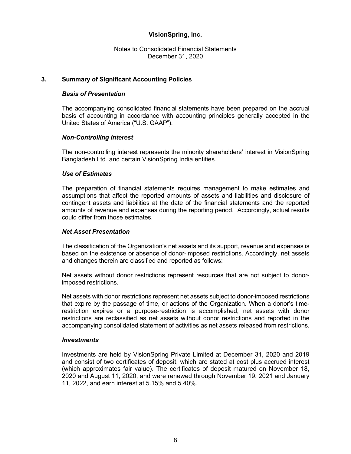Notes to Consolidated Financial Statements December 31, 2020

## **3. Summary of Significant Accounting Policies**

### *Basis of Presentation*

The accompanying consolidated financial statements have been prepared on the accrual basis of accounting in accordance with accounting principles generally accepted in the United States of America ("U.S. GAAP").

### *Non-Controlling Interest*

The non-controlling interest represents the minority shareholders' interest in VisionSpring Bangladesh Ltd. and certain VisionSpring India entities.

## *Use of Estimates*

The preparation of financial statements requires management to make estimates and assumptions that affect the reported amounts of assets and liabilities and disclosure of contingent assets and liabilities at the date of the financial statements and the reported amounts of revenue and expenses during the reporting period. Accordingly, actual results could differ from those estimates.

#### *Net Asset Presentation*

The classification of the Organization's net assets and its support, revenue and expenses is based on the existence or absence of donor-imposed restrictions. Accordingly, net assets and changes therein are classified and reported as follows:

Net assets without donor restrictions represent resources that are not subject to donorimposed restrictions.

Net assets with donor restrictions represent net assets subject to donor-imposed restrictions that expire by the passage of time, or actions of the Organization. When a donor's timerestriction expires or a purpose-restriction is accomplished, net assets with donor restrictions are reclassified as net assets without donor restrictions and reported in the accompanying consolidated statement of activities as net assets released from restrictions.

#### *Investments*

Investments are held by VisionSpring Private Limited at December 31, 2020 and 2019 and consist of two certificates of deposit, which are stated at cost plus accrued interest (which approximates fair value). The certificates of deposit matured on November 18, 2020 and August 11, 2020, and were renewed through November 19, 2021 and January 11, 2022, and earn interest at 5.15% and 5.40%.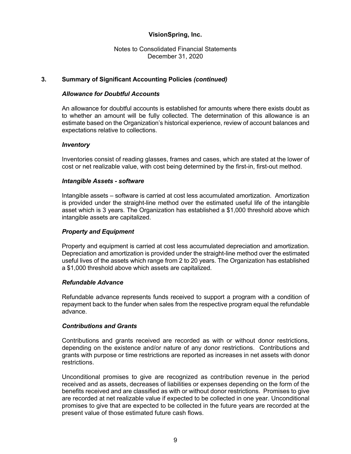## Notes to Consolidated Financial Statements December 31, 2020

## **3. Summary of Significant Accounting Policies** *(continued)*

#### *Allowance for Doubtful Accounts*

An allowance for doubtful accounts is established for amounts where there exists doubt as to whether an amount will be fully collected. The determination of this allowance is an estimate based on the Organization's historical experience, review of account balances and expectations relative to collections.

#### *Inventory*

Inventories consist of reading glasses, frames and cases, which are stated at the lower of cost or net realizable value, with cost being determined by the first-in, first-out method.

#### *Intangible Assets - software*

Intangible assets – software is carried at cost less accumulated amortization. Amortization is provided under the straight-line method over the estimated useful life of the intangible asset which is 3 years. The Organization has established a \$1,000 threshold above which intangible assets are capitalized.

#### *Property and Equipment*

Property and equipment is carried at cost less accumulated depreciation and amortization. Depreciation and amortization is provided under the straight-line method over the estimated useful lives of the assets which range from 2 to 20 years. The Organization has established a \$1,000 threshold above which assets are capitalized.

#### *Refundable Advance*

Refundable advance represents funds received to support a program with a condition of repayment back to the funder when sales from the respective program equal the refundable advance.

#### *Contributions and Grants*

Contributions and grants received are recorded as with or without donor restrictions, depending on the existence and/or nature of any donor restrictions. Contributions and grants with purpose or time restrictions are reported as increases in net assets with donor restrictions.

Unconditional promises to give are recognized as contribution revenue in the period received and as assets, decreases of liabilities or expenses depending on the form of the benefits received and are classified as with or without donor restrictions. Promises to give are recorded at net realizable value if expected to be collected in one year. Unconditional promises to give that are expected to be collected in the future years are recorded at the present value of those estimated future cash flows.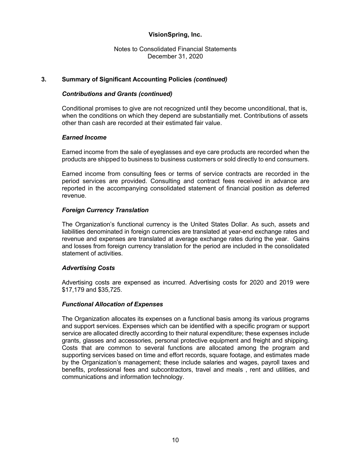## Notes to Consolidated Financial Statements December 31, 2020

## **3. Summary of Significant Accounting Policies** *(continued)*

#### *Contributions and Grants (continued)*

Conditional promises to give are not recognized until they become unconditional, that is, when the conditions on which they depend are substantially met. Contributions of assets other than cash are recorded at their estimated fair value.

### *Earned Income*

Earned income from the sale of eyeglasses and eye care products are recorded when the products are shipped to business to business customers or sold directly to end consumers.

Earned income from consulting fees or terms of service contracts are recorded in the period services are provided. Consulting and contract fees received in advance are reported in the accompanying consolidated statement of financial position as deferred revenue.

### *Foreign Currency Translation*

The Organization's functional currency is the United States Dollar. As such, assets and liabilities denominated in foreign currencies are translated at year-end exchange rates and revenue and expenses are translated at average exchange rates during the year. Gains and losses from foreign currency translation for the period are included in the consolidated statement of activities.

#### *Advertising Costs*

Advertising costs are expensed as incurred. Advertising costs for 2020 and 2019 were \$17,179 and \$35,725.

#### *Functional Allocation of Expenses*

The Organization allocates its expenses on a functional basis among its various programs and support services. Expenses which can be identified with a specific program or support service are allocated directly according to their natural expenditure; these expenses include grants, glasses and accessories, personal protective equipment and freight and shipping. Costs that are common to several functions are allocated among the program and supporting services based on time and effort records, square footage, and estimates made by the Organization's management; these include salaries and wages, payroll taxes and benefits, professional fees and subcontractors, travel and meals , rent and utilities, and communications and information technology.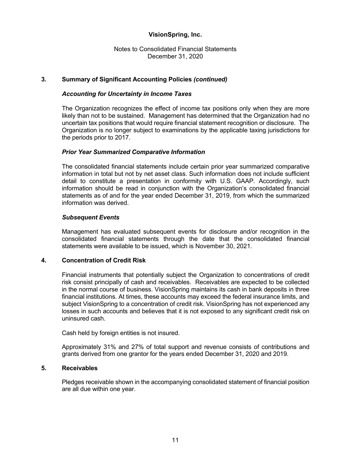Notes to Consolidated Financial Statements December 31, 2020

## **3. Summary of Significant Accounting Policies** *(continued)*

#### *Accounting for Uncertainty in Income Taxes*

The Organization recognizes the effect of income tax positions only when they are more likely than not to be sustained. Management has determined that the Organization had no uncertain tax positions that would require financial statement recognition or disclosure. The Organization is no longer subject to examinations by the applicable taxing jurisdictions for the periods prior to 2017.

#### *Prior Year Summarized Comparative Information*

The consolidated financial statements include certain prior year summarized comparative information in total but not by net asset class. Such information does not include sufficient detail to constitute a presentation in conformity with U.S. GAAP. Accordingly, such information should be read in conjunction with the Organization's consolidated financial statements as of and for the year ended December 31, 2019, from which the summarized information was derived.

#### *Subsequent Events*

Management has evaluated subsequent events for disclosure and/or recognition in the consolidated financial statements through the date that the consolidated financial statements were available to be issued, which is November 30, 2021.

#### **4. Concentration of Credit Risk**

Financial instruments that potentially subject the Organization to concentrations of credit risk consist principally of cash and receivables. Receivables are expected to be collected in the normal course of business. VisionSpring maintains its cash in bank deposits in three financial institutions. At times, these accounts may exceed the federal insurance limits, and subject VisionSpring to a concentration of credit risk. VisionSpring has not experienced any losses in such accounts and believes that it is not exposed to any significant credit risk on uninsured cash.

Cash held by foreign entities is not insured.

Approximately 31% and 27% of total support and revenue consists of contributions and grants derived from one grantor for the years ended December 31, 2020 and 2019.

#### **5. Receivables**

Pledges receivable shown in the accompanying consolidated statement of financial position are all due within one year.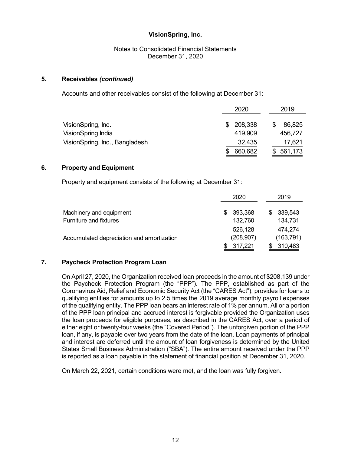## Notes to Consolidated Financial Statements December 31, 2020

## **5. Receivables** *(continued)*

Accounts and other receivables consist of the following at December 31:

|                                | 2020           | 2019      |  |
|--------------------------------|----------------|-----------|--|
|                                |                |           |  |
| VisionSpring, Inc.             | 208,338<br>\$. | 86,825    |  |
| VisionSpring India             | 419,909        | 456,727   |  |
| VisionSpring, Inc., Bangladesh | 32,435         | 17,621    |  |
|                                | 660,682        | \$561,173 |  |

#### **6. Property and Equipment**

Property and equipment consists of the following at December 31:

|                                           | 2020         | 2019         |
|-------------------------------------------|--------------|--------------|
| Machinery and equipment                   | 393,368<br>S | 339,543<br>S |
| <b>Furniture and fixtures</b>             | 132,760      | 134,731      |
|                                           | 526,128      | 474,274      |
| Accumulated depreciation and amortization | (208, 907)   | (163,791)    |
|                                           | 317,221      | 310,483      |

## **7. Paycheck Protection Program Loan**

On April 27, 2020, the Organization received loan proceeds in the amount of \$208,139 under the Paycheck Protection Program (the "PPP"). The PPP, established as part of the Coronavirus Aid, Relief and Economic Security Act (the "CARES Act"), provides for loans to qualifying entities for amounts up to 2.5 times the 2019 average monthly payroll expenses of the qualifying entity. The PPP loan bears an interest rate of 1% per annum. All or a portion of the PPP loan principal and accrued interest is forgivable provided the Organization uses the loan proceeds for eligible purposes, as described in the CARES Act, over a period of either eight or twenty-four weeks (the "Covered Period"). The unforgiven portion of the PPP loan, if any, is payable over two years from the date of the loan. Loan payments of principal and interest are deferred until the amount of loan forgiveness is determined by the United States Small Business Administration ("SBA"). The entire amount received under the PPP is reported as a loan payable in the statement of financial position at December 31, 2020.

On March 22, 2021, certain conditions were met, and the loan was fully forgiven.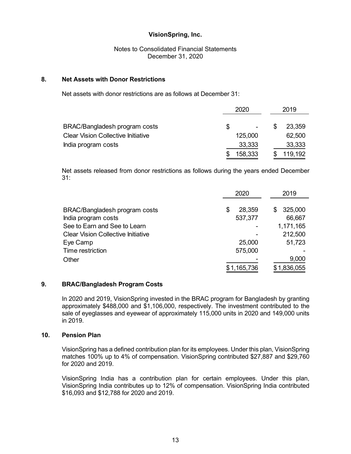Notes to Consolidated Financial Statements December 31, 2020

#### **8. Net Assets with Donor Restrictions**

Net assets with donor restrictions are as follows at December 31:

|                                           | 2020 |         | 2019    |  |
|-------------------------------------------|------|---------|---------|--|
| BRAC/Bangladesh program costs             | S    | $\sim$  | 23,359  |  |
| <b>Clear Vision Collective Initiative</b> |      | 125,000 | 62,500  |  |
| India program costs                       |      | 33,333  | 33,333  |  |
|                                           |      | 158,333 | 119,192 |  |

Net assets released from donor restrictions as follows during the years ended December 31:

|                                           | 2020         | 2019         |
|-------------------------------------------|--------------|--------------|
|                                           |              |              |
| BRAC/Bangladesh program costs             | 28,359<br>\$ | 325,000<br>S |
| India program costs                       | 537,377      | 66,667       |
| See to Earn and See to Learn              |              | 1,171,165    |
| <b>Clear Vision Collective Initiative</b> |              | 212,500      |
| Eye Camp                                  | 25,000       | 51,723       |
| Time restriction                          | 575,000      |              |
| Other                                     |              | 9,000        |
|                                           | \$1,165,736  | \$1,836,055  |

#### **9. BRAC/Bangladesh Program Costs**

In 2020 and 2019, VisionSpring invested in the BRAC program for Bangladesh by granting approximately \$488,000 and \$1,106,000, respectively. The investment contributed to the sale of eyeglasses and eyewear of approximately 115,000 units in 2020 and 149,000 units in 2019.

#### **10. Pension Plan**

VisionSpring has a defined contribution plan for its employees. Under this plan, VisionSpring matches 100% up to 4% of compensation. VisionSpring contributed \$27,887 and \$29,760 for 2020 and 2019.

VisionSpring India has a contribution plan for certain employees. Under this plan, VisionSpring India contributes up to 12% of compensation. VisionSpring India contributed \$16,093 and \$12,788 for 2020 and 2019.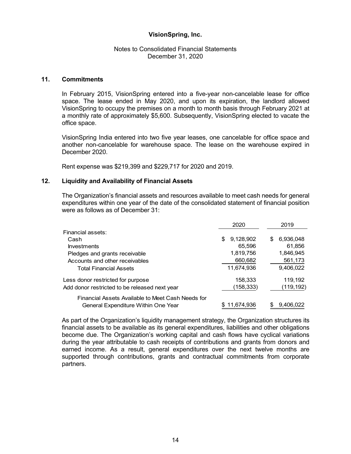#### Notes to Consolidated Financial Statements December 31, 2020

#### **11. Commitments**

In February 2015, VisionSpring entered into a five-year non-cancelable lease for office space. The lease ended in May 2020, and upon its expiration, the landlord allowed VisionSpring to occupy the premises on a month to month basis through February 2021 at a monthly rate of approximately \$5,600. Subsequently, VisionSpring elected to vacate the office space.

VisionSpring India entered into two five year leases, one cancelable for office space and another non-cancelable for warehouse space. The lease on the warehouse expired in December 2020.

Rent expense was \$219,399 and \$229,717 for 2020 and 2019.

## **12. Liquidity and Availability of Financial Assets**

The Organization's financial assets and resources available to meet cash needs for general expenditures within one year of the date of the consolidated statement of financial position were as follows as of December 31:

|                                                   | 2020            | 2019             |
|---------------------------------------------------|-----------------|------------------|
| Financial assets:                                 |                 |                  |
| Cash                                              | 9,128,902<br>\$ | 6,936,048<br>\$. |
| <b>Investments</b>                                | 65,596          | 61,856           |
| Pledges and grants receivable                     | 1,819,756       | 1,846,945        |
| Accounts and other receivables                    | 660,682         | 561,173          |
| <b>Total Financial Assets</b>                     | 11,674,936      | 9,406,022        |
| Less donor restricted for purpose                 | 158,333         | 119,192          |
| Add donor restricted to be released next year     | (158, 333)      | (119,192)        |
| Financial Assets Available to Meet Cash Needs for |                 |                  |
| General Expenditure Within One Year               | \$11,674,936    | 9,406,022        |

As part of the Organization's liquidity management strategy, the Organization structures its financial assets to be available as its general expenditures, liabilities and other obligations become due. The Organization's working capital and cash flows have cyclical variations during the year attributable to cash receipts of contributions and grants from donors and earned income. As a result, general expenditures over the next twelve months are supported through contributions, grants and contractual commitments from corporate partners.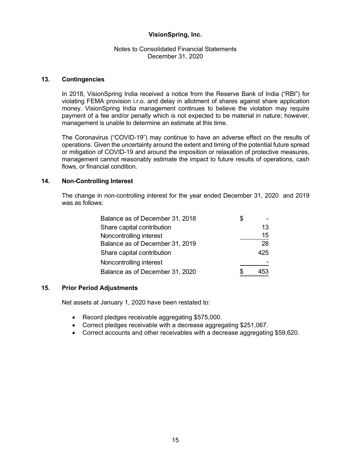## Notes to Consolidated Financial Statements December 31, 2020

#### **13. Contingencies**

In 2018, VisionSpring India received a notice from the Reserve Bank of India ("RBI") for violating FEMA provision i.r.o. and delay in allotment of shares against share application money. VisionSpring India management continues to believe the violation may require payment of a fee and/or penalty which is not expected to be material in nature; however, management is unable to determine an estimate at this time.

The Coronavirus ("COVID-19") may continue to have an adverse effect on the results of operations. Given the uncertainty around the extent and timing of the potential future spread or mitigation of COVID-19 and around the imposition or relaxation of protective measures, management cannot reasonably estimate the impact to future results of operations, cash flows, or financial condition.

### **14. Non-Controlling Interest**

The change in non-controlling interest for the year ended December 31, 2020 and 2019 was as follows:

| Balance as of December 31, 2018 | æ |     |
|---------------------------------|---|-----|
| Share capital contribution      |   | 13  |
| Noncontrolling interest         |   | 15  |
| Balance as of December 31, 2019 |   | 28  |
| Share capital contribution      |   | 425 |
| Noncontrolling interest         |   |     |
| Balance as of December 31, 2020 |   |     |

## **15. Prior Period Adjustments**

Net assets at January 1, 2020 have been restated to:

- Record pledges receivable aggregating \$575,000.
- Correct pledges receivable with a decrease aggregating \$251,067.
- Correct accounts and other receivables with a decrease aggregating \$59,620.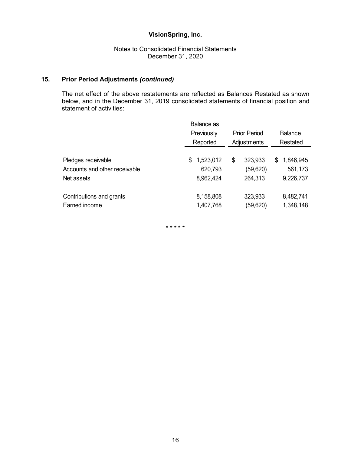## Notes to Consolidated Financial Statements December 31, 2020

## **15. Prior Period Adjustments** *(continued)*

The net effect of the above restatements are reflected as Balances Restated as shown below, and in the December 31, 2019 consolidated statements of financial position and statement of activities:

|                               | Balance as      |                     |                 |
|-------------------------------|-----------------|---------------------|-----------------|
|                               | Previously      | <b>Prior Period</b> | <b>Balance</b>  |
|                               | Reported        | Adjustments         | Restated        |
|                               |                 |                     |                 |
| Pledges receivable            | 1,523,012<br>\$ | 323,933<br>\$       | 1,846,945<br>\$ |
| Accounts and other receivable | 620,793         | (59, 620)           | 561,173         |
| Net assets                    | 8,962,424       | 264,313             | 9,226,737       |
|                               |                 |                     |                 |
| Contributions and grants      | 8,158,808       | 323,933             | 8,482,741       |
| Earned income                 | 1,407,768       | (59, 620)           | 1,348,148       |

\* \* \* \* \*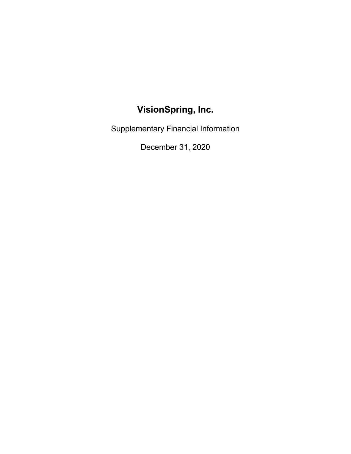Supplementary Financial Information

December 31, 2020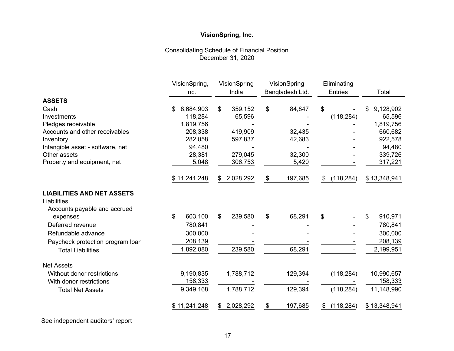# Consolidating Schedule of Financial Position December 31, 2020

|                                   | VisionSpring,   | VisionSpring    | VisionSpring                          | Eliminating      |                 |
|-----------------------------------|-----------------|-----------------|---------------------------------------|------------------|-----------------|
|                                   | Inc.            | India           | Bangladesh Ltd.                       | <b>Entries</b>   | Total           |
| <b>ASSETS</b>                     |                 |                 |                                       |                  |                 |
| Cash                              | 8,684,903<br>\$ | \$<br>359,152   | \$<br>84,847                          | \$               | 9,128,902<br>\$ |
| Investments                       | 118,284         | 65,596          |                                       | (118, 284)       | 65,596          |
| Pledges receivable                | 1,819,756       |                 |                                       |                  | 1,819,756       |
| Accounts and other receivables    | 208,338         | 419,909         | 32,435                                |                  | 660,682         |
| Inventory                         | 282,058         | 597,837         | 42,683                                |                  | 922,578         |
| Intangible asset - software, net  | 94,480          |                 |                                       |                  | 94,480          |
| Other assets                      | 28,381          | 279,045         | 32,300                                |                  | 339,726         |
| Property and equipment, net       | 5,048           | 306,753         | 5,420                                 |                  | 317,221         |
|                                   | \$11,241,248    | \$2,028,292     | $\mathfrak{P}$<br>197,685             | (118, 284)<br>\$ | \$13,348,941    |
| <b>LIABILITIES AND NET ASSETS</b> |                 |                 |                                       |                  |                 |
| Liabilities                       |                 |                 |                                       |                  |                 |
| Accounts payable and accrued      |                 |                 |                                       |                  |                 |
| expenses                          | \$<br>603,100   | \$<br>239,580   | 68,291<br>\$                          | \$               | 910,971<br>\$   |
| Deferred revenue                  | 780,841         |                 |                                       |                  | 780,841         |
| Refundable advance                | 300,000         |                 |                                       |                  | 300,000         |
| Paycheck protection program loan  | 208,139         |                 |                                       |                  | 208,139         |
| <b>Total Liabilities</b>          | 1,892,080       | 239,580         | 68,291                                |                  | 2,199,951       |
| <b>Net Assets</b>                 |                 |                 |                                       |                  |                 |
| Without donor restrictions        | 9,190,835       | 1,788,712       | 129,394                               | (118, 284)       | 10,990,657      |
| With donor restrictions           | 158,333         |                 |                                       |                  | 158,333         |
| <b>Total Net Assets</b>           | 9,349,168       | 1,788,712       | 129,394                               | (118, 284)       | 11,148,990      |
|                                   | \$11,241,248    | 2,028,292<br>\$ | $\boldsymbol{\mathsf{\$}}$<br>197,685 | (118, 284)<br>S  | \$13,348,941    |

See independent auditors' report